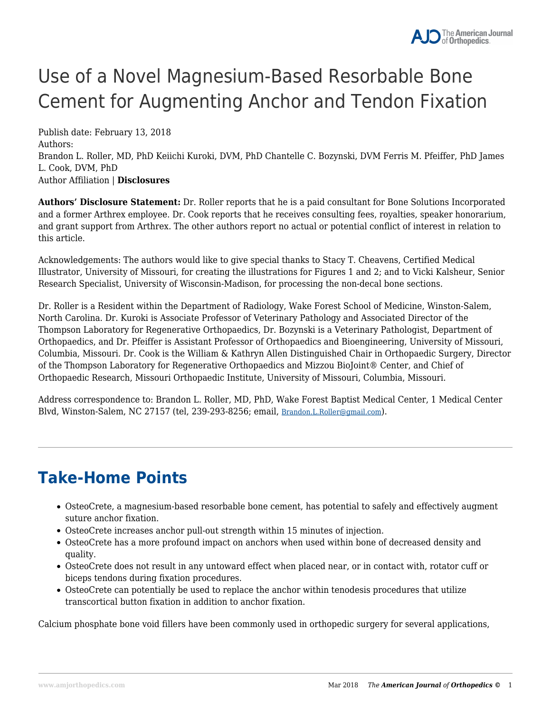# Use of a Novel Magnesium-Based Resorbable Bone Cement for Augmenting Anchor and Tendon Fixation

Publish date: February 13, 2018 Authors: Brandon L. Roller, MD, PhD Keiichi Kuroki, DVM, PhD Chantelle C. Bozynski, DVM Ferris M. Pfeiffer, PhD James L. Cook, DVM, PhD Author Affiliation | **Disclosures**

**Authors' Disclosure Statement:** Dr. Roller reports that he is a paid consultant for Bone Solutions Incorporated and a former Arthrex employee. Dr. Cook reports that he receives consulting fees, royalties, speaker honorarium, and grant support from Arthrex. The other authors report no actual or potential conflict of interest in relation to this article.

Acknowledgements: The authors would like to give special thanks to Stacy T. Cheavens, Certified Medical Illustrator, University of Missouri, for creating the illustrations for Figures 1 and 2; and to Vicki Kalsheur, Senior Research Specialist, University of Wisconsin-Madison, for processing the non-decal bone sections.

Dr. Roller is a Resident within the Department of Radiology, Wake Forest School of Medicine, Winston-Salem, North Carolina. Dr. Kuroki is Associate Professor of Veterinary Pathology and Associated Director of the Thompson Laboratory for Regenerative Orthopaedics, Dr. Bozynski is a Veterinary Pathologist, Department of Orthopaedics, and Dr. Pfeiffer is Assistant Professor of Orthopaedics and Bioengineering, University of Missouri, Columbia, Missouri. Dr. Cook is the William & Kathryn Allen Distinguished Chair in Orthopaedic Surgery, Director of the Thompson Laboratory for Regenerative Orthopaedics and Mizzou BioJoint® Center, and Chief of Orthopaedic Research, Missouri Orthopaedic Institute, University of Missouri, Columbia, Missouri.

Address correspondence to: Brandon L. Roller, MD, PhD, Wake Forest Baptist Medical Center, 1 Medical Center Blvd, Winston-Salem, NC 27157 (tel, 239-293-8256; email, [Brandon.L.Roller@gmail.com](mailto:Brandon.L.Roller@gmail.com)).

## **Take-Home Points**

- OsteoCrete, a magnesium-based resorbable bone cement, has potential to safely and effectively augment suture anchor fixation.
- OsteoCrete increases anchor pull-out strength within 15 minutes of injection.
- OsteoCrete has a more profound impact on anchors when used within bone of decreased density and quality.
- OsteoCrete does not result in any untoward effect when placed near, or in contact with, rotator cuff or biceps tendons during fixation procedures.
- OsteoCrete can potentially be used to replace the anchor within tenodesis procedures that utilize transcortical button fixation in addition to anchor fixation.

Calcium phosphate bone void fillers have been commonly used in orthopedic surgery for several applications,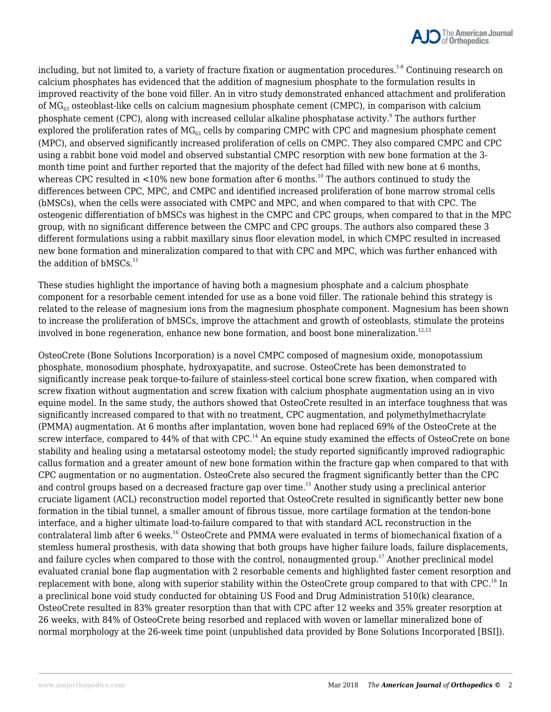

including, but not limited to, a variety of fracture fixation or augmentation procedures.<sup>1-8</sup> Continuing research on calcium phosphates has evidenced that the addition of magnesium phosphate to the formulation results in improved reactivity of the bone void filler. An in vitro study demonstrated enhanced attachment and proliferation of  $MG_{63}$  osteoblast-like cells on calcium magnesium phosphate cement (CMPC), in comparison with calcium phosphate cement (CPC), along with increased cellular alkaline phosphatase activity. $^9$  The authors further explored the proliferation rates of  $MG_{63}$  cells by comparing CMPC with CPC and magnesium phosphate cement (MPC), and observed significantly increased proliferation of cells on CMPC. They also compared CMPC and CPC using a rabbit bone void model and observed substantial CMPC resorption with new bone formation at the 3 month time point and further reported that the majority of the defect had filled with new bone at 6 months, whereas CPC resulted in  $\langle 10\%$  new bone formation after 6 months.<sup>10</sup> The authors continued to study the differences between CPC, MPC, and CMPC and identified increased proliferation of bone marrow stromal cells (bMSCs), when the cells were associated with CMPC and MPC, and when compared to that with CPC. The osteogenic differentiation of bMSCs was highest in the CMPC and CPC groups, when compared to that in the MPC group, with no significant difference between the CMPC and CPC groups. The authors also compared these 3 different formulations using a rabbit maxillary sinus floor elevation model, in which CMPC resulted in increased new bone formation and mineralization compared to that with CPC and MPC, which was further enhanced with the addition of  $bMSCs.<sup>11</sup>$ 

These studies highlight the importance of having both a magnesium phosphate and a calcium phosphate component for a resorbable cement intended for use as a bone void filler. The rationale behind this strategy is related to the release of magnesium ions from the magnesium phosphate component. Magnesium has been shown to increase the proliferation of bMSCs, improve the attachment and growth of osteoblasts, stimulate the proteins involved in bone regeneration, enhance new bone formation, and boost bone mineralization. $12,13$ 

OsteoCrete (Bone Solutions Incorporation) is a novel CMPC composed of magnesium oxide, monopotassium phosphate, monosodium phosphate, hydroxyapatite, and sucrose. OsteoCrete has been demonstrated to significantly increase peak torque-to-failure of stainless-steel cortical bone screw fixation, when compared with screw fixation without augmentation and screw fixation with calcium phosphate augmentation using an in vivo equine model. In the same study, the authors showed that OsteoCrete resulted in an interface toughness that was significantly increased compared to that with no treatment, CPC augmentation, and polymethylmethacrylate (PMMA) augmentation. At 6 months after implantation, woven bone had replaced 69% of the OsteoCrete at the screw interface, compared to 44% of that with CPC.<sup>14</sup> An equine study examined the effects of OsteoCrete on bone stability and healing using a metatarsal osteotomy model; the study reported significantly improved radiographic callus formation and a greater amount of new bone formation within the fracture gap when compared to that with CPC augmentation or no augmentation. OsteoCrete also secured the fragment significantly better than the CPC and control groups based on a decreased fracture gap over time.<sup>15</sup> Another study using a preclinical anterior cruciate ligament (ACL) reconstruction model reported that OsteoCrete resulted in significantly better new bone formation in the tibial tunnel, a smaller amount of fibrous tissue, more cartilage formation at the tendon-bone interface, and a higher ultimate load-to-failure compared to that with standard ACL reconstruction in the contralateral limb after 6 weeks.<sup>16</sup> OsteoCrete and PMMA were evaluated in terms of biomechanical fixation of a stemless humeral prosthesis, with data showing that both groups have higher failure loads, failure displacements, and failure cycles when compared to those with the control, nonaugmented group.<sup>17</sup> Another preclinical model evaluated cranial bone flap augmentation with 2 resorbable cements and highlighted faster cement resorption and replacement with bone, along with superior stability within the OsteoCrete group compared to that with CPC.<sup>18</sup> In a preclinical bone void study conducted for obtaining US Food and Drug Administration 510(k) clearance, OsteoCrete resulted in 83% greater resorption than that with CPC after 12 weeks and 35% greater resorption at 26 weeks, with 84% of OsteoCrete being resorbed and replaced with woven or lamellar mineralized bone of normal morphology at the 26-week time point (unpublished data provided by Bone Solutions Incorporated [BSI]).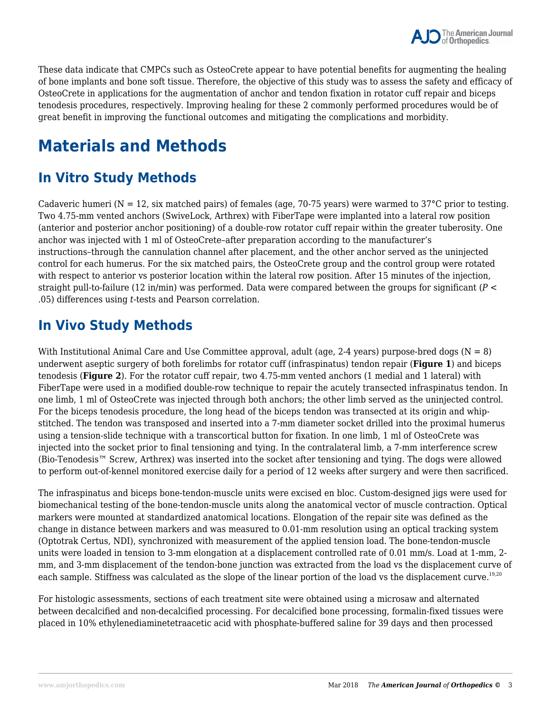

These data indicate that CMPCs such as OsteoCrete appear to have potential benefits for augmenting the healing of bone implants and bone soft tissue. Therefore, the objective of this study was to assess the safety and efficacy of OsteoCrete in applications for the augmentation of anchor and tendon fixation in rotator cuff repair and biceps tenodesis procedures, respectively. Improving healing for these 2 commonly performed procedures would be of great benefit in improving the functional outcomes and mitigating the complications and morbidity.

## **Materials and Methods**

### **In Vitro Study Methods**

Cadaveric humeri ( $N = 12$ , six matched pairs) of females (age, 70-75 years) were warmed to 37°C prior to testing. Two 4.75-mm vented anchors (SwiveLock, Arthrex) with FiberTape were implanted into a lateral row position (anterior and posterior anchor positioning) of a double-row rotator cuff repair within the greater tuberosity. One anchor was injected with 1 ml of OsteoCrete–after preparation according to the manufacturer's instructions–through the cannulation channel after placement, and the other anchor served as the uninjected control for each humerus. For the six matched pairs, the OsteoCrete group and the control group were rotated with respect to anterior vs posterior location within the lateral row position. After 15 minutes of the injection, straight pull-to-failure (12 in/min) was performed. Data were compared between the groups for significant (*P* < .05) differences using *t*-tests and Pearson correlation.

### **In Vivo Study Methods**

With Institutional Animal Care and Use Committee approval, adult (age, 2-4 years) purpose-bred dogs ( $N = 8$ ) underwent aseptic surgery of both forelimbs for rotator cuff (infraspinatus) tendon repair (**Figure 1**) and biceps tenodesis (**Figure 2**). For the rotator cuff repair, two 4.75-mm vented anchors (1 medial and 1 lateral) with FiberTape were used in a modified double-row technique to repair the acutely transected infraspinatus tendon. In one limb, 1 ml of OsteoCrete was injected through both anchors; the other limb served as the uninjected control. For the biceps tenodesis procedure, the long head of the biceps tendon was transected at its origin and whipstitched. The tendon was transposed and inserted into a 7-mm diameter socket drilled into the proximal humerus using a tension-slide technique with a transcortical button for fixation. In one limb, 1 ml of OsteoCrete was injected into the socket prior to final tensioning and tying. In the contralateral limb, a 7-mm interference screw (Bio-Tenodesis™ Screw, Arthrex) was inserted into the socket after tensioning and tying. The dogs were allowed to perform out-of-kennel monitored exercise daily for a period of 12 weeks after surgery and were then sacrificed.

The infraspinatus and biceps bone-tendon-muscle units were excised en bloc. Custom-designed jigs were used for biomechanical testing of the bone-tendon-muscle units along the anatomical vector of muscle contraction. Optical markers were mounted at standardized anatomical locations. Elongation of the repair site was defined as the change in distance between markers and was measured to 0.01-mm resolution using an optical tracking system (Optotrak Certus, NDI), synchronized with measurement of the applied tension load. The bone-tendon-muscle units were loaded in tension to 3-mm elongation at a displacement controlled rate of 0.01 mm/s. Load at 1-mm, 2 mm, and 3-mm displacement of the tendon-bone junction was extracted from the load vs the displacement curve of each sample. Stiffness was calculated as the slope of the linear portion of the load vs the displacement curve.<sup>19,20</sup>

For histologic assessments, sections of each treatment site were obtained using a microsaw and alternated between decalcified and non-decalcified processing. For decalcified bone processing, formalin-fixed tissues were placed in 10% ethylenediaminetetraacetic acid with phosphate-buffered saline for 39 days and then processed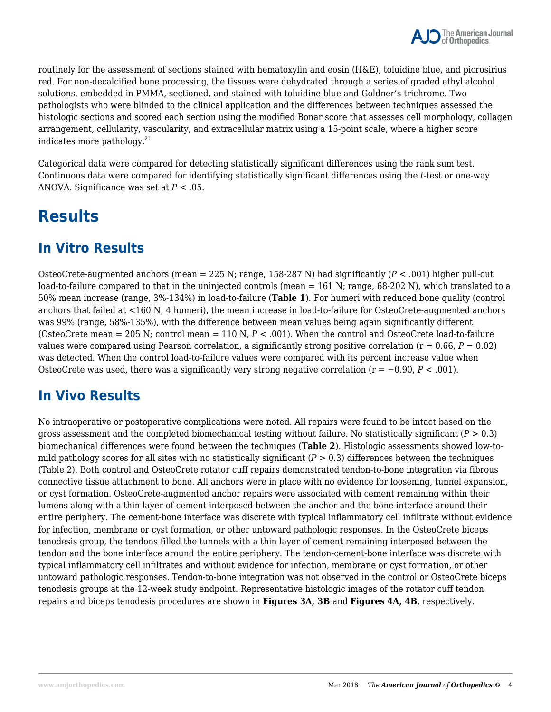routinely for the assessment of sections stained with hematoxylin and eosin (H&E), toluidine blue, and picrosirius red. For non-decalcified bone processing, the tissues were dehydrated through a series of graded ethyl alcohol solutions, embedded in PMMA, sectioned, and stained with toluidine blue and Goldner's trichrome. Two pathologists who were blinded to the clinical application and the differences between techniques assessed the histologic sections and scored each section using the modified Bonar score that assesses cell morphology, collagen arrangement, cellularity, vascularity, and extracellular matrix using a 15-point scale, where a higher score indicates more pathology. $^{21}$ 

Categorical data were compared for detecting statistically significant differences using the rank sum test. Continuous data were compared for identifying statistically significant differences using the *t*-test or one-way ANOVA. Significance was set at *P* < .05.

### **Results**

### **In Vitro Results**

OsteoCrete-augmented anchors (mean = 225 N; range, 158-287 N) had significantly (*P* < .001) higher pull-out load-to-failure compared to that in the uninjected controls (mean = 161 N; range, 68-202 N), which translated to a 50% mean increase (range, 3%-134%) in load-to-failure (**Table 1**). For humeri with reduced bone quality (control anchors that failed at <160 N, 4 humeri), the mean increase in load-to-failure for OsteoCrete-augmented anchors was 99% (range, 58%-135%), with the difference between mean values being again significantly different (OsteoCrete mean = 205 N; control mean = 110 N, *P* < .001). When the control and OsteoCrete load-to-failure values were compared using Pearson correlation, a significantly strong positive correlation ( $r = 0.66$ ,  $P = 0.02$ ) was detected. When the control load-to-failure values were compared with its percent increase value when OsteoCrete was used, there was a significantly very strong negative correlation (r = −0.90, *P* < .001).

### **In Vivo Results**

No intraoperative or postoperative complications were noted. All repairs were found to be intact based on the gross assessment and the completed biomechanical testing without failure. No statistically significant (*P* > 0.3) biomechanical differences were found between the techniques (**Table 2**). Histologic assessments showed low-tomild pathology scores for all sites with no statistically significant  $(P > 0.3)$  differences between the techniques (Table 2). Both control and OsteoCrete rotator cuff repairs demonstrated tendon-to-bone integration via fibrous connective tissue attachment to bone. All anchors were in place with no evidence for loosening, tunnel expansion, or cyst formation. OsteoCrete-augmented anchor repairs were associated with cement remaining within their lumens along with a thin layer of cement interposed between the anchor and the bone interface around their entire periphery. The cement-bone interface was discrete with typical inflammatory cell infiltrate without evidence for infection, membrane or cyst formation, or other untoward pathologic responses. In the OsteoCrete biceps tenodesis group, the tendons filled the tunnels with a thin layer of cement remaining interposed between the tendon and the bone interface around the entire periphery. The tendon-cement-bone interface was discrete with typical inflammatory cell infiltrates and without evidence for infection, membrane or cyst formation, or other untoward pathologic responses. Tendon-to-bone integration was not observed in the control or OsteoCrete biceps tenodesis groups at the 12-week study endpoint. Representative histologic images of the rotator cuff tendon repairs and biceps tenodesis procedures are shown in **Figures 3A, 3B** and **Figures 4A, 4B**, respectively.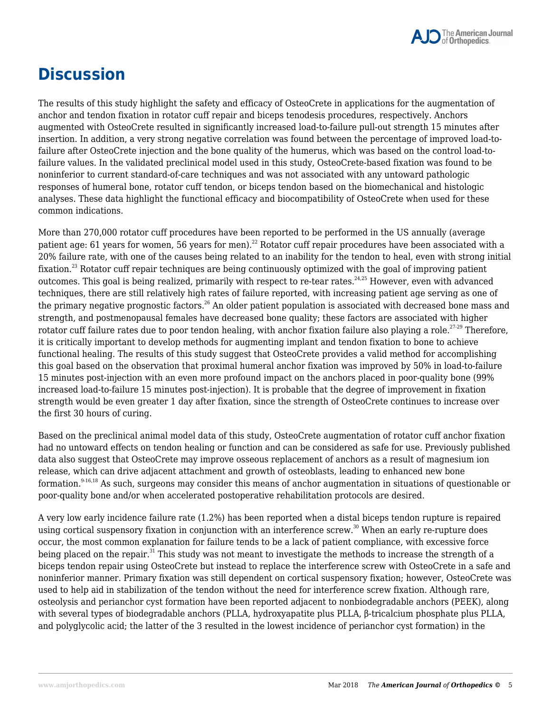

## **Discussion**

The results of this study highlight the safety and efficacy of OsteoCrete in applications for the augmentation of anchor and tendon fixation in rotator cuff repair and biceps tenodesis procedures, respectively. Anchors augmented with OsteoCrete resulted in significantly increased load-to-failure pull-out strength 15 minutes after insertion. In addition, a very strong negative correlation was found between the percentage of improved load-tofailure after OsteoCrete injection and the bone quality of the humerus, which was based on the control load-tofailure values. In the validated preclinical model used in this study, OsteoCrete-based fixation was found to be noninferior to current standard-of-care techniques and was not associated with any untoward pathologic responses of humeral bone, rotator cuff tendon, or biceps tendon based on the biomechanical and histologic analyses. These data highlight the functional efficacy and biocompatibility of OsteoCrete when used for these common indications.

More than 270,000 rotator cuff procedures have been reported to be performed in the US annually (average patient age: 61 years for women, 56 years for men).<sup>22</sup> Rotator cuff repair procedures have been associated with a 20% failure rate, with one of the causes being related to an inability for the tendon to heal, even with strong initial fixation.<sup>23</sup> Rotator cuff repair techniques are being continuously optimized with the goal of improving patient outcomes. This goal is being realized, primarily with respect to re-tear rates.<sup>24,25</sup> However, even with advanced techniques, there are still relatively high rates of failure reported, with increasing patient age serving as one of the primary negative prognostic factors.<sup>26</sup> An older patient population is associated with decreased bone mass and strength, and postmenopausal females have decreased bone quality; these factors are associated with higher rotator cuff failure rates due to poor tendon healing, with anchor fixation failure also playing a role.<sup>27-29</sup> Therefore, it is critically important to develop methods for augmenting implant and tendon fixation to bone to achieve functional healing. The results of this study suggest that OsteoCrete provides a valid method for accomplishing this goal based on the observation that proximal humeral anchor fixation was improved by 50% in load-to-failure 15 minutes post-injection with an even more profound impact on the anchors placed in poor-quality bone (99% increased load-to-failure 15 minutes post-injection). It is probable that the degree of improvement in fixation strength would be even greater 1 day after fixation, since the strength of OsteoCrete continues to increase over the first 30 hours of curing.

Based on the preclinical animal model data of this study, OsteoCrete augmentation of rotator cuff anchor fixation had no untoward effects on tendon healing or function and can be considered as safe for use. Previously published data also suggest that OsteoCrete may improve osseous replacement of anchors as a result of magnesium ion release, which can drive adjacent attachment and growth of osteoblasts, leading to enhanced new bone formation. $9-16,18$  As such, surgeons may consider this means of anchor augmentation in situations of questionable or poor-quality bone and/or when accelerated postoperative rehabilitation protocols are desired.

A very low early incidence failure rate (1.2%) has been reported when a distal biceps tendon rupture is repaired using cortical suspensory fixation in conjunction with an interference screw.<sup>30</sup> When an early re-rupture does occur, the most common explanation for failure tends to be a lack of patient compliance, with excessive force being placed on the repair.<sup>31</sup> This study was not meant to investigate the methods to increase the strength of a biceps tendon repair using OsteoCrete but instead to replace the interference screw with OsteoCrete in a safe and noninferior manner. Primary fixation was still dependent on cortical suspensory fixation; however, OsteoCrete was used to help aid in stabilization of the tendon without the need for interference screw fixation. Although rare, osteolysis and perianchor cyst formation have been reported adjacent to nonbiodegradable anchors (PEEK), along with several types of biodegradable anchors (PLLA, hydroxyapatite plus PLLA, β-tricalcium phosphate plus PLLA, and polyglycolic acid; the latter of the 3 resulted in the lowest incidence of perianchor cyst formation) in the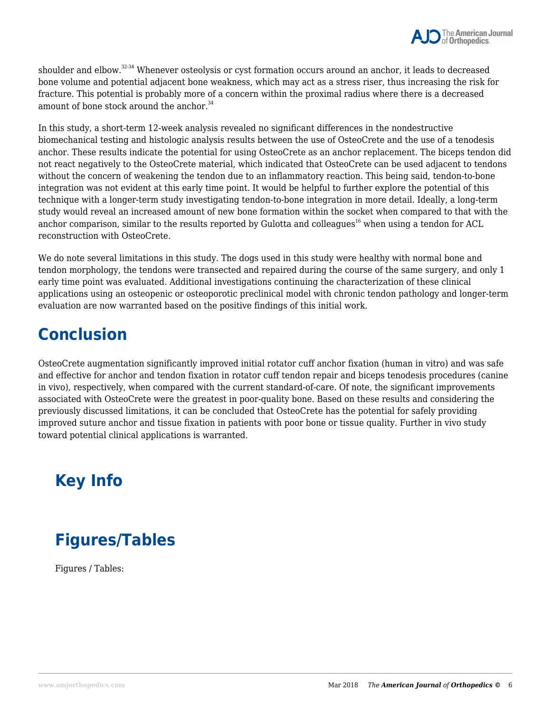shoulder and elbow.32-34 Whenever osteolysis or cyst formation occurs around an anchor, it leads to decreased bone volume and potential adjacent bone weakness, which may act as a stress riser, thus increasing the risk for fracture. This potential is probably more of a concern within the proximal radius where there is a decreased amount of bone stock around the anchor. $34$ 

In this study, a short-term 12-week analysis revealed no significant differences in the nondestructive biomechanical testing and histologic analysis results between the use of OsteoCrete and the use of a tenodesis anchor. These results indicate the potential for using OsteoCrete as an anchor replacement. The biceps tendon did not react negatively to the OsteoCrete material, which indicated that OsteoCrete can be used adjacent to tendons without the concern of weakening the tendon due to an inflammatory reaction. This being said, tendon-to-bone integration was not evident at this early time point. It would be helpful to further explore the potential of this technique with a longer-term study investigating tendon-to-bone integration in more detail. Ideally, a long-term study would reveal an increased amount of new bone formation within the socket when compared to that with the anchor comparison, similar to the results reported by Gulotta and colleagues<sup>16</sup> when using a tendon for ACL reconstruction with OsteoCrete.

We do note several limitations in this study. The dogs used in this study were healthy with normal bone and tendon morphology, the tendons were transected and repaired during the course of the same surgery, and only 1 early time point was evaluated. Additional investigations continuing the characterization of these clinical applications using an osteopenic or osteoporotic preclinical model with chronic tendon pathology and longer-term evaluation are now warranted based on the positive findings of this initial work.

### **Conclusion**

OsteoCrete augmentation significantly improved initial rotator cuff anchor fixation (human in vitro) and was safe and effective for anchor and tendon fixation in rotator cuff tendon repair and biceps tenodesis procedures (canine in vivo), respectively, when compared with the current standard-of-care. Of note, the significant improvements associated with OsteoCrete were the greatest in poor-quality bone. Based on these results and considering the previously discussed limitations, it can be concluded that OsteoCrete has the potential for safely providing improved suture anchor and tissue fixation in patients with poor bone or tissue quality. Further in vivo study toward potential clinical applications is warranted.

# **Key Info**

## **Figures/Tables**

Figures / Tables: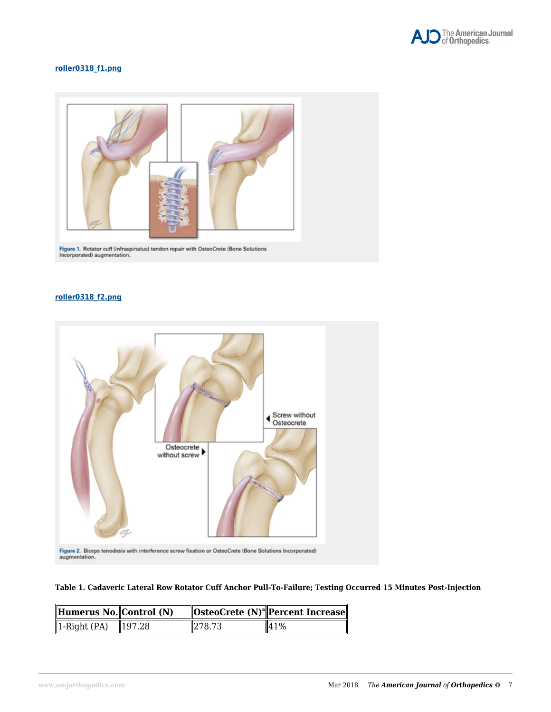

#### **[roller0318\\_f1.png](https://www.amjorthopedics.com/file/roller0318f1png)**



Figure 1. Rotator cuff (infraspinatus) tendon repair with OsteoCrete (Bone Solutions Incorporated) augmentation.

#### **[roller0318\\_f2.png](https://www.amjorthopedics.com/file/roller0318f2png)**



#### **Table 1. Cadaveric Lateral Row Rotator Cuff Anchor Pull-To-Failure; Testing Occurred 15 Minutes Post-Injection**

| Humerus No. Control $(N)$                    |        | $\ $ OsteoCrete (N) <sup>a</sup> $\ $ Percent Increase $\ $ |
|----------------------------------------------|--------|-------------------------------------------------------------|
| $\sqrt{1\text{-Right (PA)}}$ $\sqrt{197.28}$ | 278.73 | $\frac{141}{6}$                                             |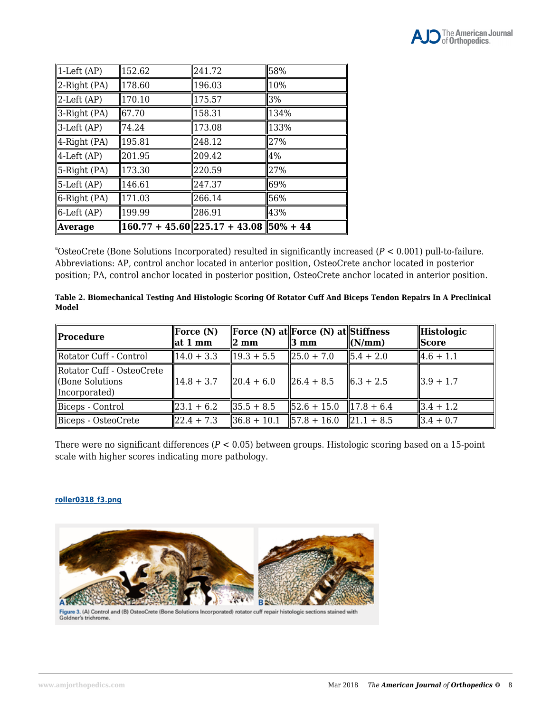| Average                  |        | $160.77 + 45.60$   225.17 + 43.08   50% + 44 |      |
|--------------------------|--------|----------------------------------------------|------|
| $\parallel$ 6-Left (AP)  | 199.99 | 286.91                                       | 43%  |
| 6-Right (PA)             | 171.03 | 266.14                                       | 56%  |
| $\parallel$ 5-Left (AP)  | 146.61 | 247.37                                       | 69%  |
| $\parallel$ 5-Right (PA) | 173.30 | 220.59                                       | 27%  |
| $\parallel$ 4-Left (AP)  | 201.95 | 209.42                                       | 4%   |
| $\parallel$ 4-Right (PA) | 195.81 | 248.12                                       | 27%  |
| $3$ -Left (AP)           | 74.24  | 173.08                                       | 133% |
| $\parallel$ 3-Right (PA) | 67.70  | 158.31                                       | 134% |
| $\ $ 2-Left (AP)         | 170.10 | 175.57                                       | 3%   |
| $\ $ 2-Right (PA)        | 178.60 | 196.03                                       | 10%  |
| $\sqrt{1}$ -Left (AP)    | 152.62 | 241.72                                       | 58%  |

<sup>a</sup>OsteoCrete (Bone Solutions Incorporated) resulted in significantly increased ( $P < 0.001$ ) pull-to-failure. Abbreviations: AP, control anchor located in anterior position, OsteoCrete anchor located in posterior position; PA, control anchor located in posterior position, OsteoCrete anchor located in anterior position.

| Table 2. Biomechanical Testing And Histologic Scoring Of Rotator Cuff And Biceps Tendon Repairs In A Preclinical |  |
|------------------------------------------------------------------------------------------------------------------|--|
| Model                                                                                                            |  |

| Procedure                                                           | Force $(N)$<br>$\ $ at 1 mm | $\parallel 2$ mm                                | <b>Force (N) at Force (N) at Stiffness</b><br>$\parallel$ 3 mm | $\ $ (N/mm)                     | Histologic<br><i><b>Score</b></i> |
|---------------------------------------------------------------------|-----------------------------|-------------------------------------------------|----------------------------------------------------------------|---------------------------------|-----------------------------------|
| Rotator Cuff - Control                                              | $14.0 + 3.3$                | $\parallel$ 19.3 + 5.5                          | $\ 25.0 + 7.0\ $                                               | $\parallel$ 5.4 + 2.0           | $ 4.6 + 1.1 $                     |
| Rotator Cuff - OsteoCrete<br><b>Cone Solutions</b><br>Incorporated) | $14.8 + 3.7$                | $\ 20.4 + 6.0\ $                                | $ 26.4 + 8.5 $                                                 | $\parallel 6.3 + 2.5 \parallel$ | $\parallel$ 3.9 + 1.7             |
| Biceps - Control                                                    | $ 23.1 + 6.2 $              | $\parallel$ 35.5 + 8.5                          | $\parallel$ 52.6 + 15.0 $\parallel$ 17.8 + 6.4                 |                                 | $3.4 + 1.2$                       |
| Biceps - OsteoCrete                                                 | $122.4 + 7.3$               | $\parallel$ 36.8 + 10.1 $\parallel$ 57.8 + 16.0 |                                                                | $\parallel$ 21.1 + 8.5          | $3.4 + 0.7$                       |

There were no significant differences (*P* < 0.05) between groups. Histologic scoring based on a 15-point scale with higher scores indicating more pathology.

#### **[roller0318\\_f3.png](https://www.amjorthopedics.com/file/roller0318f3png)**



Figure 3. (A) Control and (B) OsteoCrete (Bone Solutions Incorporated) rotator cuff repair histologic sections stained with<br>Goldner's trichrome.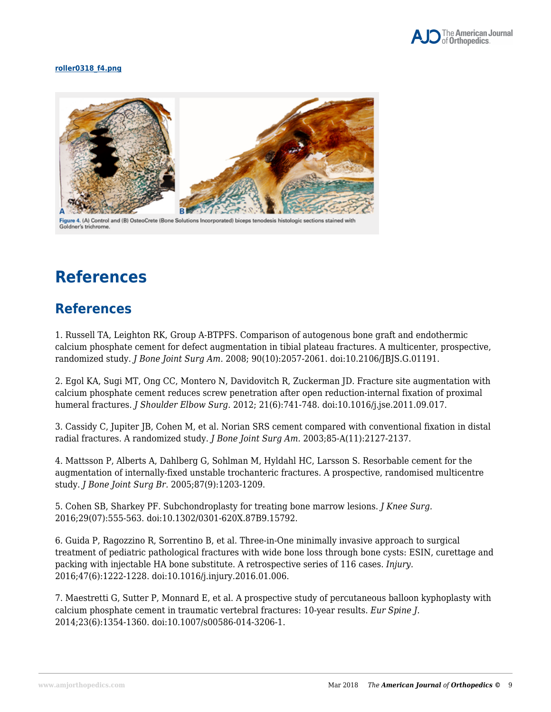

#### **[roller0318\\_f4.png](https://www.amjorthopedics.com/file/roller0318f4png)**



Figure 4. (A) Control and (B) OsteoCrete (Bone Solutions Incorporated) biceps tenodesis histologic sections stained with Goldner's trichrome

## **References**

### **References**

1. Russell TA, Leighton RK, Group A-BTPFS. Comparison of autogenous bone graft and endothermic calcium phosphate cement for defect augmentation in tibial plateau fractures. A multicenter, prospective, randomized study. *J Bone Joint Surg Am.* 2008; 90(10):2057-2061. doi:10.2106/JBJS.G.01191.

2. Egol KA, Sugi MT, Ong CC, Montero N, Davidovitch R, Zuckerman JD. Fracture site augmentation with calcium phosphate cement reduces screw penetration after open reduction-internal fixation of proximal humeral fractures. *J Shoulder Elbow Surg.* 2012; 21(6):741-748. doi:10.1016/j.jse.2011.09.017.

3. Cassidy C, Jupiter JB, Cohen M, et al. Norian SRS cement compared with conventional fixation in distal radial fractures. A randomized study. *J Bone Joint Surg Am.* 2003;85-A(11):2127-2137.

4. Mattsson P, Alberts A, Dahlberg G, Sohlman M, Hyldahl HC, Larsson S. Resorbable cement for the augmentation of internally-fixed unstable trochanteric fractures. A prospective, randomised multicentre study. *J Bone Joint Surg Br.* 2005;87(9):1203-1209.

5. Cohen SB, Sharkey PF. Subchondroplasty for treating bone marrow lesions. *J Knee Surg.* 2016;29(07):555-563. doi:10.1302/0301-620X.87B9.15792.

6. Guida P, Ragozzino R, Sorrentino B, et al. Three-in-One minimally invasive approach to surgical treatment of pediatric pathological fractures with wide bone loss through bone cysts: ESIN, curettage and packing with injectable HA bone substitute. A retrospective series of 116 cases. *Injury.* 2016;47(6):1222-1228. doi:10.1016/j.injury.2016.01.006.

7. Maestretti G, Sutter P, Monnard E, et al. A prospective study of percutaneous balloon kyphoplasty with calcium phosphate cement in traumatic vertebral fractures: 10-year results. *Eur Spine J.* 2014;23(6):1354-1360. doi:10.1007/s00586-014-3206-1.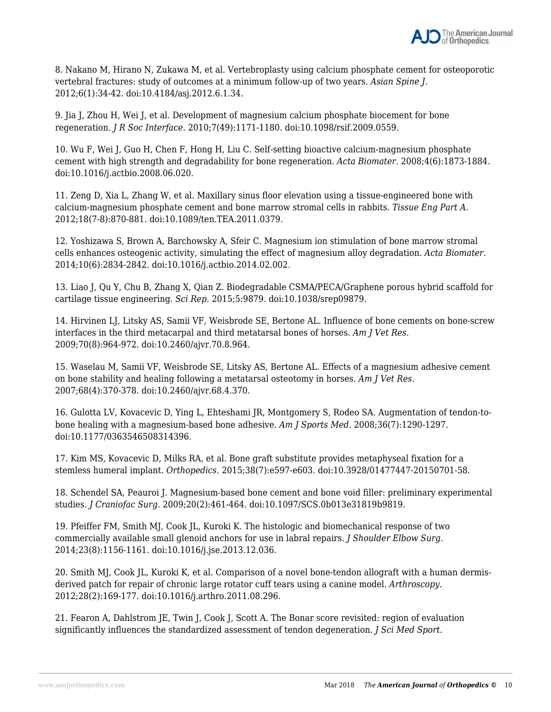

8. Nakano M, Hirano N, Zukawa M, et al. Vertebroplasty using calcium phosphate cement for osteoporotic vertebral fractures: study of outcomes at a minimum follow-up of two years. *Asian Spine J.* 2012;6(1):34-42. doi:10.4184/asj.2012.6.1.34.

9. Jia J, Zhou H, Wei J, et al. Development of magnesium calcium phosphate biocement for bone regeneration. *J R Soc Interface.* 2010;7(49):1171-1180. doi:10.1098/rsif.2009.0559.

10. Wu F, Wei J, Guo H, Chen F, Hong H, Liu C. Self-setting bioactive calcium-magnesium phosphate cement with high strength and degradability for bone regeneration. *Acta Biomater.* 2008;4(6):1873-1884. doi:10.1016/j.actbio.2008.06.020.

11. Zeng D, Xia L, Zhang W, et al. Maxillary sinus floor elevation using a tissue-engineered bone with calcium-magnesium phosphate cement and bone marrow stromal cells in rabbits. *Tissue Eng Part A.* 2012;18(7-8):870-881. doi:10.1089/ten.TEA.2011.0379.

12. Yoshizawa S, Brown A, Barchowsky A, Sfeir C. Magnesium ion stimulation of bone marrow stromal cells enhances osteogenic activity, simulating the effect of magnesium alloy degradation. *Acta Biomater.* 2014;10(6):2834-2842. doi:10.1016/j.actbio.2014.02.002.

13. Liao J, Qu Y, Chu B, Zhang X, Qian Z. Biodegradable CSMA/PECA/Graphene porous hybrid scaffold for cartilage tissue engineering. *Sci Rep.* 2015;5:9879. doi:10.1038/srep09879.

14. Hirvinen LJ, Litsky AS, Samii VF, Weisbrode SE, Bertone AL. Influence of bone cements on bone-screw interfaces in the third metacarpal and third metatarsal bones of horses. *Am J Vet Res.* 2009;70(8):964-972. doi:10.2460/ajvr.70.8.964.

15. Waselau M, Samii VF, Weisbrode SE, Litsky AS, Bertone AL. Effects of a magnesium adhesive cement on bone stability and healing following a metatarsal osteotomy in horses. *Am J Vet Res.* 2007;68(4):370-378. doi:10.2460/ajvr.68.4.370.

16. Gulotta LV, Kovacevic D, Ying L, Ehteshami JR, Montgomery S, Rodeo SA. Augmentation of tendon-tobone healing with a magnesium-based bone adhesive. *Am J Sports Med.* 2008;36(7):1290-1297. doi:10.1177/0363546508314396.

17. Kim MS, Kovacevic D, Milks RA, et al. Bone graft substitute provides metaphyseal fixation for a stemless humeral implant. *Orthopedics.* 2015;38(7):e597-e603. doi:10.3928/01477447-20150701-58.

18. Schendel SA, Peauroi J. Magnesium-based bone cement and bone void filler: preliminary experimental studies. *J Craniofac Surg.* 2009;20(2):461-464. doi:10.1097/SCS.0b013e31819b9819.

19. Pfeiffer FM, Smith MJ, Cook JL, Kuroki K. The histologic and biomechanical response of two commercially available small glenoid anchors for use in labral repairs. *J Shoulder Elbow Surg.* 2014;23(8):1156-1161. doi:10.1016/j.jse.2013.12.036.

20. Smith MJ, Cook JL, Kuroki K, et al. Comparison of a novel bone-tendon allograft with a human dermisderived patch for repair of chronic large rotator cuff tears using a canine model. *Arthroscopy.* 2012;28(2):169-177. doi:10.1016/j.arthro.2011.08.296.

21. Fearon A, Dahlstrom JE, Twin J, Cook J, Scott A. The Bonar score revisited: region of evaluation significantly influences the standardized assessment of tendon degeneration. *J Sci Med Sport.*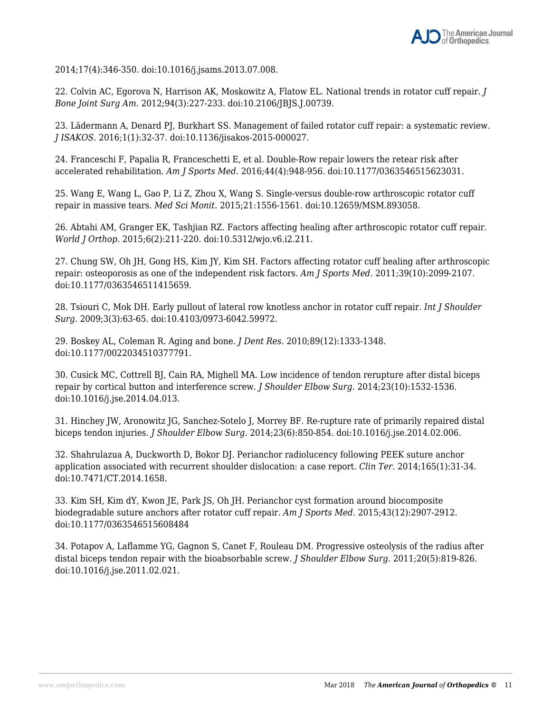2014;17(4):346-350. doi:10.1016/j.jsams.2013.07.008.

22. Colvin AC, Egorova N, Harrison AK, Moskowitz A, Flatow EL. National trends in rotator cuff repair. *J Bone Joint Surg Am.* 2012;94(3):227-233. doi:10.2106/JBJS.J.00739.

23. Lädermann A, Denard PJ, Burkhart SS. Management of failed rotator cuff repair: a systematic review. *J ISAKOS.* 2016;1(1):32-37. doi:10.1136/jisakos-2015-000027.

24. Franceschi F, Papalia R, Franceschetti E, et al. Double-Row repair lowers the retear risk after accelerated rehabilitation. *Am J Sports Med.* 2016;44(4):948-956. doi:10.1177/0363546515623031.

25. Wang E, Wang L, Gao P, Li Z, Zhou X, Wang S. Single-versus double-row arthroscopic rotator cuff repair in massive tears. *Med Sci Monit.* 2015;21:1556-1561. doi:10.12659/MSM.893058.

26. Abtahi AM, Granger EK, Tashjian RZ. Factors affecting healing after arthroscopic rotator cuff repair. *World J Orthop.* 2015;6(2):211-220. doi:10.5312/wjo.v6.i2.211.

27. Chung SW, Oh JH, Gong HS, Kim JY, Kim SH. Factors affecting rotator cuff healing after arthroscopic repair: osteoporosis as one of the independent risk factors. *Am J Sports Med.* 2011;39(10):2099-2107. doi:10.1177/0363546511415659.

28. Tsiouri C, Mok DH. Early pullout of lateral row knotless anchor in rotator cuff repair. *Int J Shoulder Surg.* 2009;3(3):63-65. doi:10.4103/0973-6042.59972.

29. Boskey AL, Coleman R. Aging and bone. *J Dent Res.* 2010;89(12):1333-1348. doi:10.1177/0022034510377791.

30. Cusick MC, Cottrell BJ, Cain RA, Mighell MA. Low incidence of tendon rerupture after distal biceps repair by cortical button and interference screw. *J Shoulder Elbow Surg.* 2014;23(10):1532-1536. doi:10.1016/j.jse.2014.04.013.

31. Hinchey JW, Aronowitz JG, Sanchez-Sotelo J, Morrey BF. Re-rupture rate of primarily repaired distal biceps tendon injuries. *J Shoulder Elbow Surg.* 2014;23(6):850-854. doi:10.1016/j.jse.2014.02.006.

32. Shahrulazua A, Duckworth D, Bokor DJ. Perianchor radiolucency following PEEK suture anchor application associated with recurrent shoulder dislocation: a case report. *Clin Ter.* 2014;165(1):31-34. doi:10.7471/CT.2014.1658.

33. Kim SH, Kim dY, Kwon JE, Park JS, Oh JH. Perianchor cyst formation around biocomposite biodegradable suture anchors after rotator cuff repair. *Am J Sports Med.* 2015;43(12):2907-2912. doi:10.1177/0363546515608484

34. Potapov A, Laflamme YG, Gagnon S, Canet F, Rouleau DM. Progressive osteolysis of the radius after distal biceps tendon repair with the bioabsorbable screw. *J Shoulder Elbow Surg.* 2011;20(5):819-826. doi:10.1016/j.jse.2011.02.021.